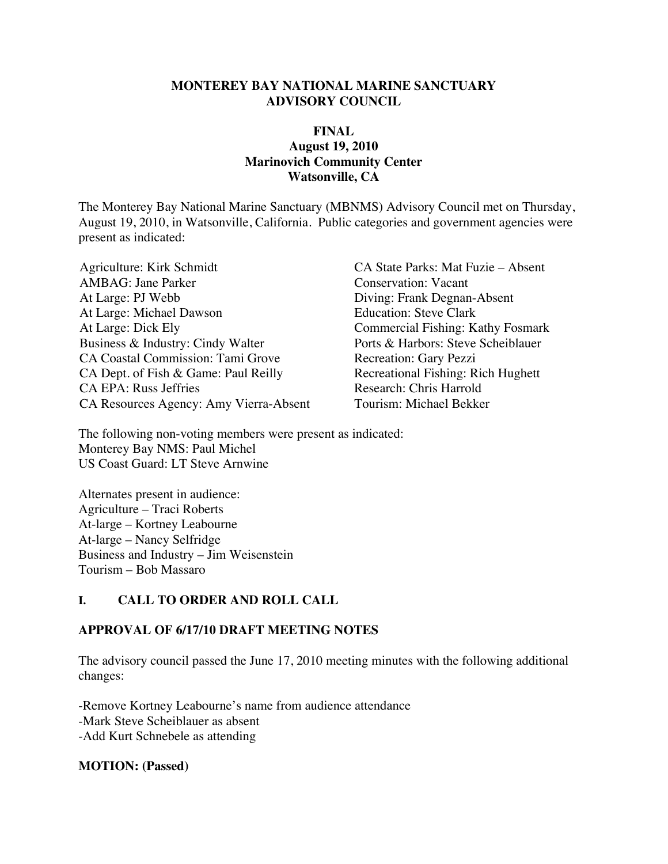#### **MONTEREY BAY NATIONAL MARINE SANCTUARY ADVISORY COUNCIL**

#### **FINAL August 19, 2010 Marinovich Community Center Watsonville, CA**

The Monterey Bay National Marine Sanctuary (MBNMS) Advisory Council met on Thursday, August 19, 2010, in Watsonville, California. Public categories and government agencies were present as indicated:

Agriculture: Kirk Schmidt<br>
AMBAG: Jane Parker<br>
Conservation: Vacant<br>
Conservation: Vacant At Large: PJ Webb Diving: Frank Degnan-Absent At Large: Michael Dawson Education: Steve Clark At Large: Dick Ely<br>
Business & Industry: Cindy Walter<br>
Ports & Harbors: Steve Scheiblauer Business & Industry: Cindy Walter CA Coastal Commission: Tami Grove Recreation: Gary Pezzi CA Dept. of Fish & Game: Paul Reilly Recreational Fishing: Rich Hughett CA EPA: Russ Jeffries<br>
CA Resources Agency: Amy Vierra-Absent<br>
Tourism: Michael Bekker CA Resources Agency: Amy Vierra-Absent

Conservation: Vacant

The following non-voting members were present as indicated: Monterey Bay NMS: Paul Michel US Coast Guard: LT Steve Arnwine

Alternates present in audience: Agriculture – Traci Roberts At-large – Kortney Leabourne At-large – Nancy Selfridge Business and Industry – Jim Weisenstein Tourism – Bob Massaro

## **I. CALL TO ORDER AND ROLL CALL**

### **APPROVAL OF 6/17/10 DRAFT MEETING NOTES**

The advisory council passed the June 17, 2010 meeting minutes with the following additional changes:

-Remove Kortney Leabourne's name from audience attendance -Mark Steve Scheiblauer as absent -Add Kurt Schnebele as attending

**MOTION: (Passed)**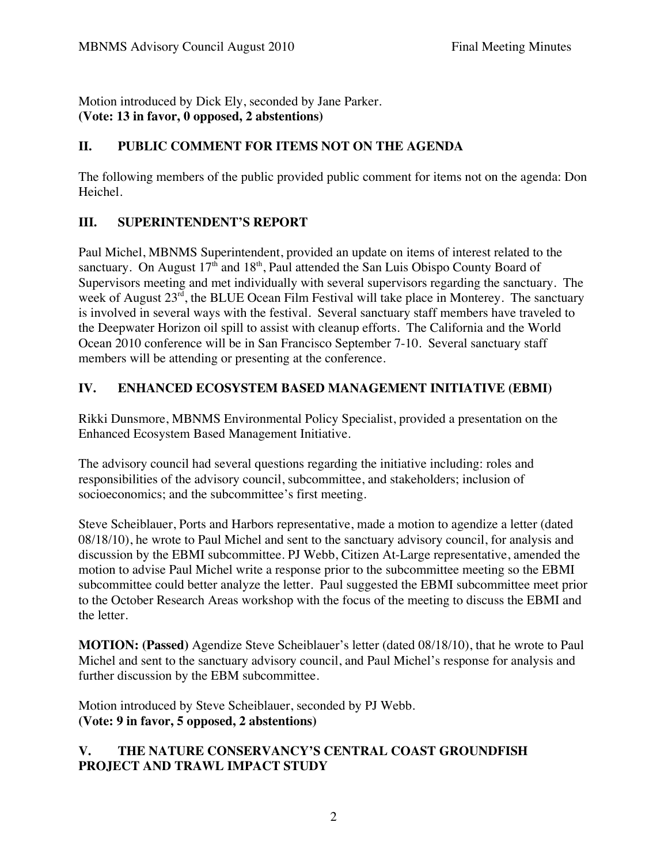Motion introduced by Dick Ely, seconded by Jane Parker. **(Vote: 13 in favor, 0 opposed, 2 abstentions)** 

## **II. PUBLIC COMMENT FOR ITEMS NOT ON THE AGENDA**

The following members of the public provided public comment for items not on the agenda: Don Heichel.

### **III. SUPERINTENDENT'S REPORT**

Paul Michel, MBNMS Superintendent, provided an update on items of interest related to the sanctuary. On August  $17<sup>th</sup>$  and  $18<sup>th</sup>$ , Paul attended the San Luis Obispo County Board of Supervisors meeting and met individually with several supervisors regarding the sanctuary. The week of August 23<sup>rd</sup>, the BLUE Ocean Film Festival will take place in Monterey. The sanctuary is involved in several ways with the festival. Several sanctuary staff members have traveled to the Deepwater Horizon oil spill to assist with cleanup efforts. The California and the World Ocean 2010 conference will be in San Francisco September 7-10. Several sanctuary staff members will be attending or presenting at the conference.

### **IV. ENHANCED ECOSYSTEM BASED MANAGEMENT INITIATIVE (EBMI)**

Rikki Dunsmore, MBNMS Environmental Policy Specialist, provided a presentation on the Enhanced Ecosystem Based Management Initiative.

The advisory council had several questions regarding the initiative including: roles and responsibilities of the advisory council, subcommittee, and stakeholders; inclusion of socioeconomics; and the subcommittee's first meeting.

Steve Scheiblauer, Ports and Harbors representative, made a motion to agendize a letter (dated 08/18/10), he wrote to Paul Michel and sent to the sanctuary advisory council, for analysis and discussion by the EBMI subcommittee. PJ Webb, Citizen At-Large representative, amended the motion to advise Paul Michel write a response prior to the subcommittee meeting so the EBMI subcommittee could better analyze the letter. Paul suggested the EBMI subcommittee meet prior to the October Research Areas workshop with the focus of the meeting to discuss the EBMI and the letter.

**MOTION: (Passed)** Agendize Steve Scheiblauer's letter (dated 08/18/10), that he wrote to Paul Michel and sent to the sanctuary advisory council, and Paul Michel's response for analysis and further discussion by the EBM subcommittee.

Motion introduced by Steve Scheiblauer, seconded by PJ Webb. **(Vote: 9 in favor, 5 opposed, 2 abstentions)** 

### **V. THE NATURE CONSERVANCY'S CENTRAL COAST GROUNDFISH PROJECT AND TRAWL IMPACT STUDY**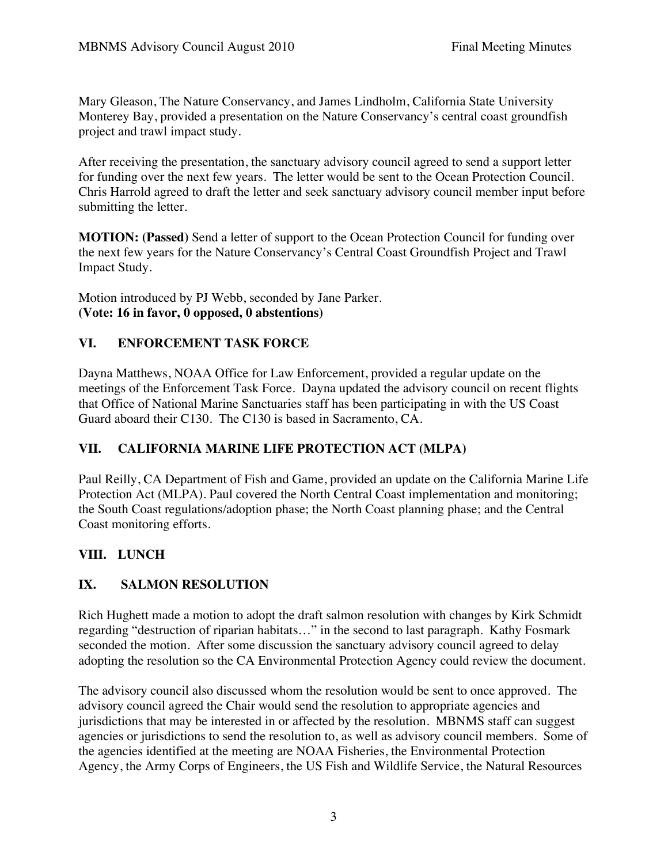Mary Gleason, The Nature Conservancy, and James Lindholm, California State University Monterey Bay, provided a presentation on the Nature Conservancy's central coast groundfish project and trawl impact study.

After receiving the presentation, the sanctuary advisory council agreed to send a support letter for funding over the next few years. The letter would be sent to the Ocean Protection Council. Chris Harrold agreed to draft the letter and seek sanctuary advisory council member input before submitting the letter.

**MOTION: (Passed)** Send a letter of support to the Ocean Protection Council for funding over the next few years for the Nature Conservancy's Central Coast Groundfish Project and Trawl Impact Study.

Motion introduced by PJ Webb, seconded by Jane Parker. **(Vote: 16 in favor, 0 opposed, 0 abstentions)**

## **VI. ENFORCEMENT TASK FORCE**

Dayna Matthews, NOAA Office for Law Enforcement, provided a regular update on the meetings of the Enforcement Task Force. Dayna updated the advisory council on recent flights that Office of National Marine Sanctuaries staff has been participating in with the US Coast Guard aboard their C130. The C130 is based in Sacramento, CA.

# **VII. CALIFORNIA MARINE LIFE PROTECTION ACT (MLPA)**

Paul Reilly, CA Department of Fish and Game, provided an update on the California Marine Life Protection Act (MLPA). Paul covered the North Central Coast implementation and monitoring; the South Coast regulations/adoption phase; the North Coast planning phase; and the Central Coast monitoring efforts.

# **VIII. LUNCH**

# **IX. SALMON RESOLUTION**

Rich Hughett made a motion to adopt the draft salmon resolution with changes by Kirk Schmidt regarding "destruction of riparian habitats…" in the second to last paragraph. Kathy Fosmark seconded the motion. After some discussion the sanctuary advisory council agreed to delay adopting the resolution so the CA Environmental Protection Agency could review the document.

The advisory council also discussed whom the resolution would be sent to once approved. The advisory council agreed the Chair would send the resolution to appropriate agencies and jurisdictions that may be interested in or affected by the resolution. MBNMS staff can suggest agencies or jurisdictions to send the resolution to, as well as advisory council members. Some of the agencies identified at the meeting are NOAA Fisheries, the Environmental Protection Agency, the Army Corps of Engineers, the US Fish and Wildlife Service, the Natural Resources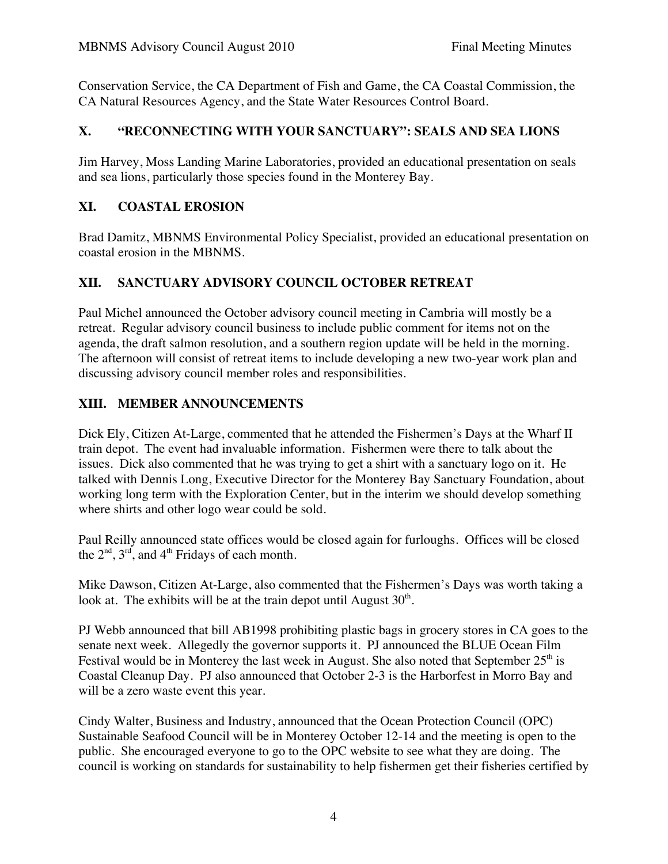Conservation Service, the CA Department of Fish and Game, the CA Coastal Commission, the CA Natural Resources Agency, and the State Water Resources Control Board.

### **X. "RECONNECTING WITH YOUR SANCTUARY": SEALS AND SEA LIONS**

Jim Harvey, Moss Landing Marine Laboratories, provided an educational presentation on seals and sea lions, particularly those species found in the Monterey Bay.

### **XI. COASTAL EROSION**

Brad Damitz, MBNMS Environmental Policy Specialist, provided an educational presentation on coastal erosion in the MBNMS.

## **XII. SANCTUARY ADVISORY COUNCIL OCTOBER RETREAT**

Paul Michel announced the October advisory council meeting in Cambria will mostly be a retreat. Regular advisory council business to include public comment for items not on the agenda, the draft salmon resolution, and a southern region update will be held in the morning. The afternoon will consist of retreat items to include developing a new two-year work plan and discussing advisory council member roles and responsibilities.

### **XIII. MEMBER ANNOUNCEMENTS**

Dick Ely, Citizen At-Large, commented that he attended the Fishermen's Days at the Wharf II train depot. The event had invaluable information. Fishermen were there to talk about the issues. Dick also commented that he was trying to get a shirt with a sanctuary logo on it. He talked with Dennis Long, Executive Director for the Monterey Bay Sanctuary Foundation, about working long term with the Exploration Center, but in the interim we should develop something where shirts and other logo wear could be sold.

Paul Reilly announced state offices would be closed again for furloughs. Offices will be closed the  $2<sup>nd</sup>$ ,  $3<sup>rd</sup>$ , and  $4<sup>th</sup>$  Fridays of each month.

Mike Dawson, Citizen At-Large, also commented that the Fishermen's Days was worth taking a look at. The exhibits will be at the train depot until August  $30<sup>th</sup>$ .

PJ Webb announced that bill AB1998 prohibiting plastic bags in grocery stores in CA goes to the senate next week. Allegedly the governor supports it. PJ announced the BLUE Ocean Film Festival would be in Monterey the last week in August. She also noted that September  $25<sup>th</sup>$  is Coastal Cleanup Day. PJ also announced that October 2-3 is the Harborfest in Morro Bay and will be a zero waste event this year.

Cindy Walter, Business and Industry, announced that the Ocean Protection Council (OPC) Sustainable Seafood Council will be in Monterey October 12-14 and the meeting is open to the public. She encouraged everyone to go to the OPC website to see what they are doing. The council is working on standards for sustainability to help fishermen get their fisheries certified by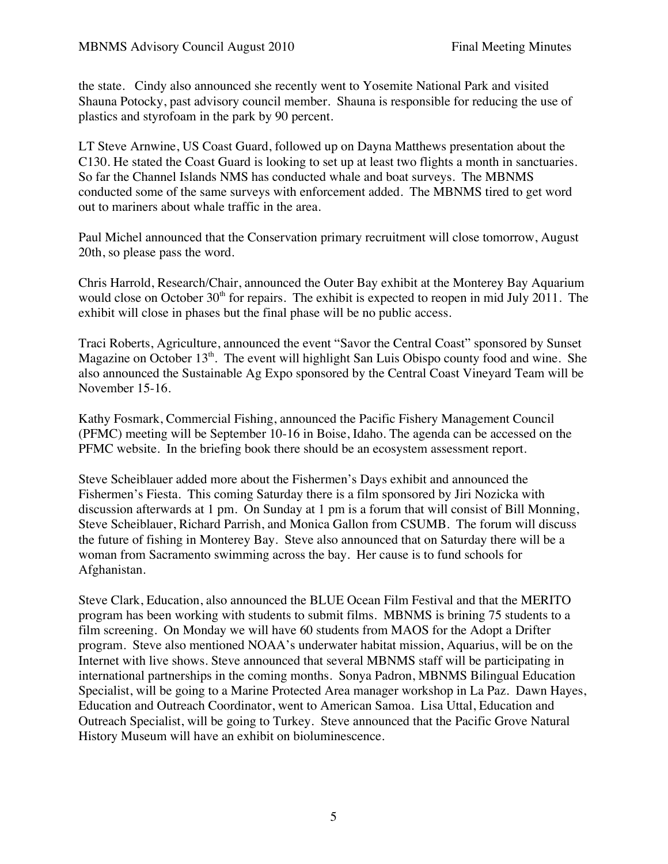the state. Cindy also announced she recently went to Yosemite National Park and visited Shauna Potocky, past advisory council member. Shauna is responsible for reducing the use of plastics and styrofoam in the park by 90 percent.

LT Steve Arnwine, US Coast Guard, followed up on Dayna Matthews presentation about the C130. He stated the Coast Guard is looking to set up at least two flights a month in sanctuaries. So far the Channel Islands NMS has conducted whale and boat surveys. The MBNMS conducted some of the same surveys with enforcement added. The MBNMS tired to get word out to mariners about whale traffic in the area.

Paul Michel announced that the Conservation primary recruitment will close tomorrow, August 20th, so please pass the word.

Chris Harrold, Research/Chair, announced the Outer Bay exhibit at the Monterey Bay Aquarium would close on October 30<sup>th</sup> for repairs. The exhibit is expected to reopen in mid July 2011. The exhibit will close in phases but the final phase will be no public access.

Traci Roberts, Agriculture, announced the event "Savor the Central Coast" sponsored by Sunset Magazine on October  $13<sup>th</sup>$ . The event will highlight San Luis Obispo county food and wine. She also announced the Sustainable Ag Expo sponsored by the Central Coast Vineyard Team will be November 15-16.

Kathy Fosmark, Commercial Fishing, announced the Pacific Fishery Management Council (PFMC) meeting will be September 10-16 in Boise, Idaho. The agenda can be accessed on the PFMC website. In the briefing book there should be an ecosystem assessment report.

Steve Scheiblauer added more about the Fishermen's Days exhibit and announced the Fishermen's Fiesta. This coming Saturday there is a film sponsored by Jiri Nozicka with discussion afterwards at 1 pm. On Sunday at 1 pm is a forum that will consist of Bill Monning, Steve Scheiblauer, Richard Parrish, and Monica Gallon from CSUMB. The forum will discuss the future of fishing in Monterey Bay. Steve also announced that on Saturday there will be a woman from Sacramento swimming across the bay. Her cause is to fund schools for Afghanistan.

Steve Clark, Education, also announced the BLUE Ocean Film Festival and that the MERITO program has been working with students to submit films. MBNMS is brining 75 students to a film screening. On Monday we will have 60 students from MAOS for the Adopt a Drifter program. Steve also mentioned NOAA's underwater habitat mission, Aquarius, will be on the Internet with live shows. Steve announced that several MBNMS staff will be participating in international partnerships in the coming months. Sonya Padron, MBNMS Bilingual Education Specialist, will be going to a Marine Protected Area manager workshop in La Paz. Dawn Hayes, Education and Outreach Coordinator, went to American Samoa. Lisa Uttal, Education and Outreach Specialist, will be going to Turkey. Steve announced that the Pacific Grove Natural History Museum will have an exhibit on bioluminescence.